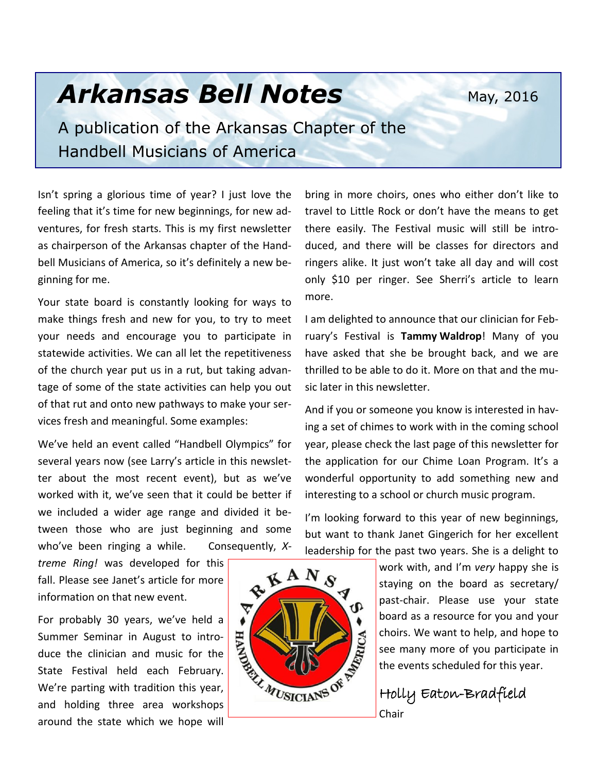May, 2016

# *Arkansas Bell Notes*

A publication of the Arkansas Chapter of the Handbell Musicians of America

Isn't spring a glorious time of year? I just love the feeling that it's time for new beginnings, for new adventures, for fresh starts. This is my first newsletter as chairperson of the Arkansas chapter of the Handbell Musicians of America, so it's definitely a new beginning for me.

Your state board is constantly looking for ways to make things fresh and new for you, to try to meet your needs and encourage you to participate in statewide activities. We can all let the repetitiveness of the church year put us in a rut, but taking advantage of some of the state activities can help you out of that rut and onto new pathways to make your services fresh and meaningful. Some examples:

We've held an event called "Handbell Olympics" for several years now (see Larry's article in this newsletter about the most recent event), but as we've worked with it, we've seen that it could be better if we included a wider age range and divided it between those who are just beginning and some who've been ringing a while. Consequently, *X-*

*treme Ring!* was developed for this fall. Please see Janet's article for more information on that new event.

For probably 30 years, we've held a Summer Seminar in August to introduce the clinician and music for the State Festival held each February. We're parting with tradition this year, and holding three area workshops around the state which we hope will

bring in more choirs, ones who either don't like to travel to Little Rock or don't have the means to get there easily. The Festival music will still be introduced, and there will be classes for directors and ringers alike. It just won't take all day and will cost only \$10 per ringer. See Sherri's article to learn more.

I am delighted to announce that our clinician for February's Festival is **Tammy Waldrop**! Many of you have asked that she be brought back, and we are thrilled to be able to do it. More on that and the music later in this newsletter.

And if you or someone you know is interested in having a set of chimes to work with in the coming school year, please check the last page of this newsletter for the application for our Chime Loan Program. It's a wonderful opportunity to add something new and interesting to a school or church music program.

I'm looking forward to this year of new beginnings, but want to thank Janet Gingerich for her excellent leadership for the past two years. She is a delight to

> work with, and I'm *very* happy she is staying on the board as secretary/ past-chair. Please use your state board as a resource for you and your choirs. We want to help, and hope to see many more of you participate in the events scheduled for this year.

Holly Eaton-Bradfield

Chair

RKANS ▽ MUSICIANS OF RESIDENCE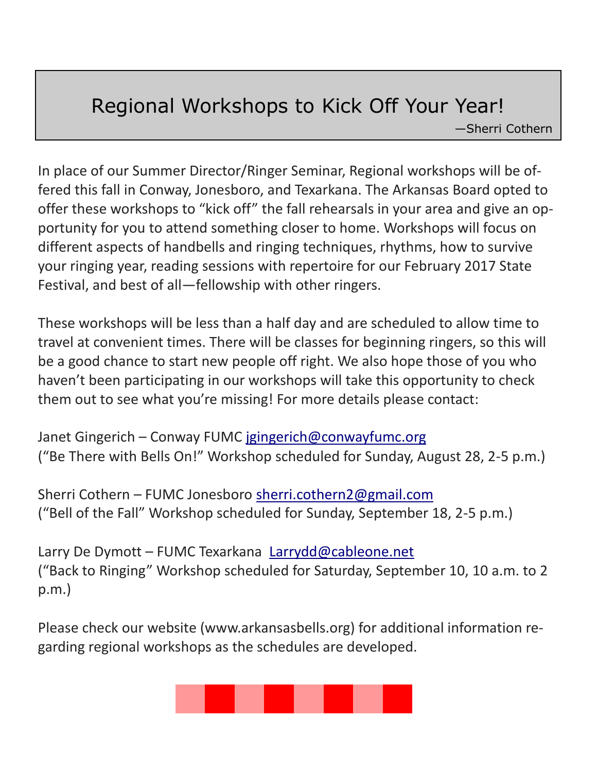### Regional Workshops to Kick Off Your Year!

—Sherri Cothern

In place of our Summer Director/Ringer Seminar, Regional workshops will be offered this fall in Conway, Jonesboro, and Texarkana. The Arkansas Board opted to offer these workshops to "kick off" the fall rehearsals in your area and give an opportunity for you to attend something closer to home. Workshops will focus on different aspects of handbells and ringing techniques, rhythms, how to survive your ringing year, reading sessions with repertoire for our February 2017 State Festival, and best of all—fellowship with other ringers.

These workshops will be less than a half day and are scheduled to allow time to travel at convenient times. There will be classes for beginning ringers, so this will be a good chance to start new people off right. We also hope those of you who haven't been participating in our workshops will take this opportunity to check them out to see what you're missing! For more details please contact:

Janet Gingerich – Conway FUMC [jgingerich@conwayfumc.org](mailto:jgingerich@conwayfumc.org) ("Be There with Bells On!" Workshop scheduled for Sunday, August 28, 2-5 p.m.)

Sherri Cothern – FUMC Jonesboro [sherri.cothern2@gmail.com](mailto:sherri.cothern2@gmail.com) ("Bell of the Fall" Workshop scheduled for Sunday, September 18, 2-5 p.m.)

Larry De Dymott – FUMC Texarkana Larrydd@cableone.net ("Back to Ringing" Workshop scheduled for Saturday, September 10, 10 a.m. to 2 p.m.)

Please check our website (www.arkansasbells.org) for additional information regarding regional workshops as the schedules are developed.

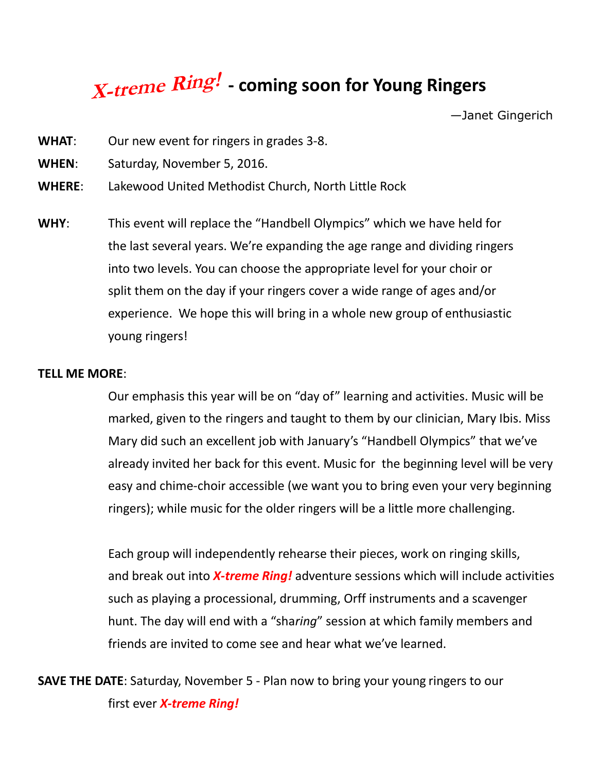# **X-treme Ring! - coming soon for Young Ringers**

—Janet Gingerich

- **WHAT**: Our new event for ringers in grades 3-8.
- **WHEN**: Saturday, November 5, 2016.
- **WHERE**: Lakewood United Methodist Church, North Little Rock
- **WHY**: This event will replace the "Handbell Olympics" which we have held for the last several years. We're expanding the age range and dividing ringers into two levels. You can choose the appropriate level for your choir or split them on the day if your ringers cover a wide range of ages and/or experience. We hope this will bring in a whole new group of enthusiastic young ringers!

#### **TELL ME MORE**:

Our emphasis this year will be on "day of" learning and activities. Music will be marked, given to the ringers and taught to them by our clinician, Mary Ibis. Miss Mary did such an excellent job with January's "Handbell Olympics" that we've already invited her back for this event. Music for the beginning level will be very easy and chime-choir accessible (we want you to bring even your very beginning ringers); while music for the older ringers will be a little more challenging.

Each group will independently rehearse their pieces, work on ringing skills, and break out into *X-treme Ring!* adventure sessions which will include activities such as playing a processional, drumming, Orff instruments and a scavenger hunt. The day will end with a "sha*ring*" session at which family members and friends are invited to come see and hear what we've learned.

**SAVE THE DATE**: Saturday, November 5 - Plan now to bring your young ringers to our first ever *X-treme Ring!*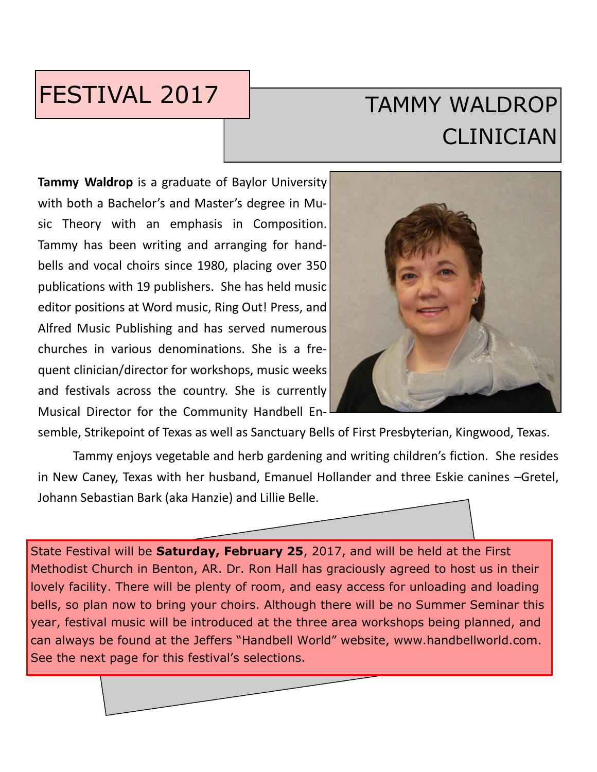## FESTIVAL 2017

# TAMMY WALDROP CLINICIAN

**Tammy Waldrop** is a graduate of Baylor University with both a Bachelor's and Master's degree in Music Theory with an emphasis in Composition. Tammy has been writing and arranging for handbells and vocal choirs since 1980, placing over 350 publications with 19 publishers. She has held music editor positions at Word music, Ring Out! Press, and Alfred Music Publishing and has served numerous churches in various denominations. She is a frequent clinician/director for workshops, music weeks and festivals across the country. She is currently Musical Director for the Community Handbell En-



semble, Strikepoint of Texas as well as Sanctuary Bells of First Presbyterian, Kingwood, Texas.

Tammy enjoys vegetable and herb gardening and writing children's fiction. She resides in New Caney, Texas with her husband, Emanuel Hollander and three Eskie canines –Gretel, Johann Sebastian Bark (aka Hanzie) and Lillie Belle.

State Festival will be **Saturday, February 25**, 2017, and will be held at the First Methodist Church in Benton, AR. Dr. Ron Hall has graciously agreed to host us in their lovely facility. There will be plenty of room, and easy access for unloading and loading bells, so plan now to bring your choirs. Although there will be no Summer Seminar this year, festival music will be introduced at the three area workshops being planned, and can always be found at the Jeffers "Handbell World" website, www.handbellworld.com. See the next page for this festival's selections.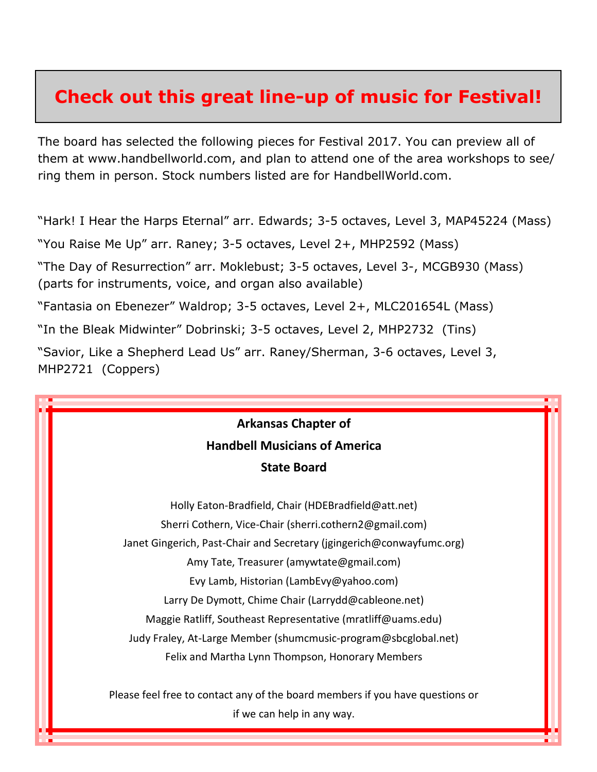### **Check out this great line-up of music for Festival!**

The board has selected the following pieces for Festival 2017. You can preview all of them at www.handbellworld.com, and plan to attend one of the area workshops to see/ ring them in person. Stock numbers listed are for HandbellWorld.com.

"Hark! I Hear the Harps Eternal" arr. Edwards; 3-5 octaves, Level 3, MAP45224 (Mass)

"You Raise Me Up" arr. Raney; 3-5 octaves, Level 2+, MHP2592 (Mass)

"The Day of Resurrection" arr. Moklebust; 3-5 octaves, Level 3-, MCGB930 (Mass) (parts for instruments, voice, and organ also available)

"Fantasia on Ebenezer" Waldrop; 3-5 octaves, Level 2+, MLC201654L (Mass)

"In the Bleak Midwinter" Dobrinski; 3-5 octaves, Level 2, MHP2732 (Tins)

"Savior, Like a Shepherd Lead Us" arr. Raney/Sherman, 3-6 octaves, Level 3, MHP2721 (Coppers)

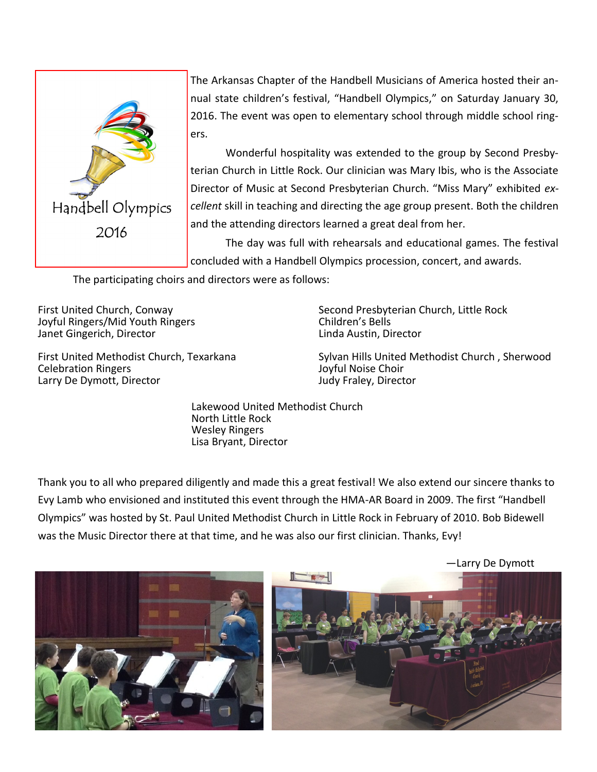

The Arkansas Chapter of the Handbell Musicians of America hosted their annual state children's festival, "Handbell Olympics," on Saturday January 30, 2016. The event was open to elementary school through middle school ringers.

Wonderful hospitality was extended to the group by Second Presbyterian Church in Little Rock. Our clinician was Mary Ibis, who is the Associate Director of Music at Second Presbyterian Church. "Miss Mary" exhibited *excellent* skill in teaching and directing the age group present. Both the children and the attending directors learned a great deal from her.

The day was full with rehearsals and educational games. The festival concluded with a Handbell Olympics procession, concert, and awards.

The participating choirs and directors were as follows:

First United Church, Conway Joyful Ringers/Mid Youth Ringers Janet Gingerich, Director

First United Methodist Church, Texarkana Celebration Ringers Larry De Dymott, Director

Second Presbyterian Church, Little Rock Children's Bells Linda Austin, Director

Sylvan Hills United Methodist Church , Sherwood Joyful Noise Choir Judy Fraley, Director

Lakewood United Methodist Church North Little Rock Wesley Ringers Lisa Bryant, Director

Thank you to all who prepared diligently and made this a great festival! We also extend our sincere thanks to Evy Lamb who envisioned and instituted this event through the HMA-AR Board in 2009. The first "Handbell Olympics" was hosted by St. Paul United Methodist Church in Little Rock in February of 2010. Bob Bidewell was the Music Director there at that time, and he was also our first clinician. Thanks, Evy!



—Larry De Dymott